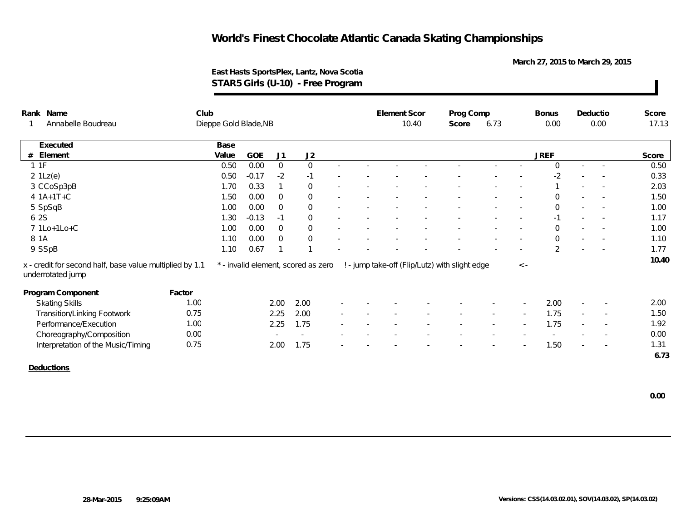**March 27, 2015 to March 29, 2015**

### **East Hasts SportsPlex, Lantz, Nova Scotia STAR5 Girls (U-10) - Free Program**

| Rank Name                                                                     | Club                  |       |         |                |                                     |        | Element Scor |      | Prog Comp                                      |  |             | <b>Bonus</b>   | Deductio   |                          | Score |
|-------------------------------------------------------------------------------|-----------------------|-------|---------|----------------|-------------------------------------|--------|--------------|------|------------------------------------------------|--|-------------|----------------|------------|--------------------------|-------|
| Annabelle Boudreau                                                            | Dieppe Gold Blade, NB |       |         | 10.40          | Score                               | 6.73   |              | 0.00 | 0.00                                           |  | 17.13       |                |            |                          |       |
| Executed                                                                      |                       | Base  |         |                |                                     |        |              |      |                                                |  |             |                |            |                          |       |
| # Element                                                                     |                       | Value | GOE     | J1             | J2                                  |        |              |      |                                                |  |             | <b>JREF</b>    |            |                          | Score |
| 11F                                                                           |                       | 0.50  | 0.00    | $\overline{0}$ | $\overline{0}$                      |        |              |      |                                                |  |             | $\Omega$       | $\sim 100$ | $\sim$                   | 0.50  |
| $2 \text{ 1Lz(e)}$                                                            |                       | 0.50  | $-0.17$ | $-2$           | $-1$                                |        |              |      |                                                |  |             | $-2$           |            |                          | 0.33  |
| 3 CCoSp3pB                                                                    |                       | 1.70  | 0.33    |                | $\overline{0}$                      |        |              |      |                                                |  |             |                |            |                          | 2.03  |
| 4 1A+1T+C                                                                     |                       | 1.50  | 0.00    | $\Omega$       | $\overline{0}$                      |        |              |      |                                                |  |             | $\mathbf 0$    |            |                          | 1.50  |
| 5 SpSqB                                                                       |                       | 1.00  | 0.00    | $\Omega$       | $\Omega$                            |        |              |      |                                                |  | $\sim$      | $\Omega$       | $\sim$     | $\overline{\phantom{a}}$ | 1.00  |
| 6 2S                                                                          |                       | 1.30  | $-0.13$ | $-1$           | $\Omega$                            |        |              |      |                                                |  |             | $-1$           |            | $\overline{\phantom{a}}$ | 1.17  |
| 7 1Lo+1Lo+C                                                                   |                       | 1.00  | 0.00    | $\overline{0}$ | $\overline{0}$                      |        |              |      |                                                |  | $\sim$      | $\mathbf 0$    |            | $\sim$                   | 1.00  |
| 8 1 A                                                                         |                       | 1.10  | 0.00    | $\Omega$       | $\overline{0}$                      |        |              |      |                                                |  |             | $\Omega$       |            |                          | 1.10  |
| 9 SSpB                                                                        |                       | 1.10  | 0.67    |                |                                     |        |              |      |                                                |  |             | $\overline{2}$ |            |                          | 1.77  |
| x - credit for second half, base value multiplied by 1.1<br>underrotated jump |                       |       |         |                | * - invalid element, scored as zero |        |              |      | ! - jump take-off (Flip/Lutz) with slight edge |  | $\langle$ - |                |            |                          | 10.40 |
| Program Component                                                             | Factor                |       |         |                |                                     |        |              |      |                                                |  |             |                |            |                          |       |
| <b>Skating Skills</b>                                                         | 1.00                  |       |         | 2.00           | 2.00                                |        |              |      |                                                |  |             | 2.00           |            |                          | 2.00  |
| <b>Transition/Linking Footwork</b>                                            | 0.75                  |       |         | 2.25           | 2.00                                | $\sim$ |              |      |                                                |  |             | 1.75           | $\sim$     | $\overline{\phantom{a}}$ | 1.50  |
| Performance/Execution                                                         | 1.00                  |       |         | 2.25           | 1.75                                | $\sim$ |              |      |                                                |  |             | 1.75           |            |                          | 1.92  |
| Choreography/Composition                                                      | 0.00                  |       |         | $\sim$         |                                     |        |              |      |                                                |  |             |                |            |                          | 0.00  |
| Interpretation of the Music/Timing                                            | 0.75                  |       |         | 2.00           | 1.75                                |        |              |      |                                                |  |             | 1.50           | <b>м.</b>  | $\overline{\phantom{a}}$ | 1.31  |
|                                                                               |                       |       |         |                |                                     |        |              |      |                                                |  |             |                |            |                          | 6.73  |
|                                                                               |                       |       |         |                |                                     |        |              |      |                                                |  |             |                |            |                          |       |

**Deductions**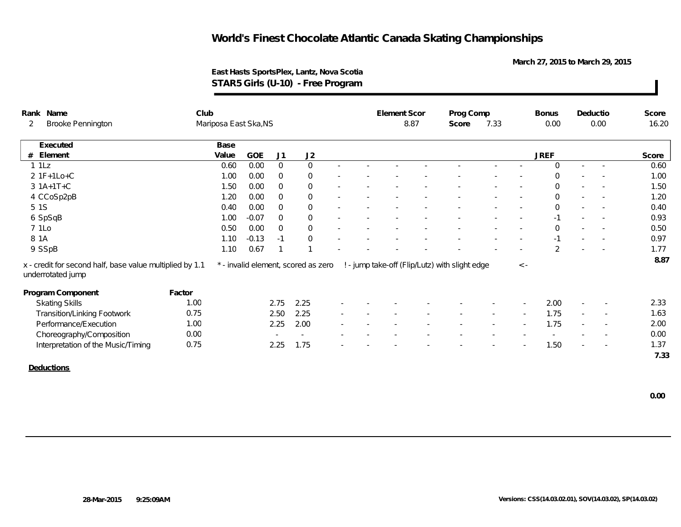**March 27, 2015 to March 29, 2015**

### **East Hasts SportsPlex, Lantz, Nova Scotia STAR5 Girls (U-10) - Free Program**

|   | Rank Name                                                                     | Club   |                       |            |                          |                                     |  | Element Scor |      | Prog Comp                                      |      |                          | <b>Bonus</b> | Deductio |                          | Score |
|---|-------------------------------------------------------------------------------|--------|-----------------------|------------|--------------------------|-------------------------------------|--|--------------|------|------------------------------------------------|------|--------------------------|--------------|----------|--------------------------|-------|
| 2 | <b>Brooke Pennington</b>                                                      |        | Mariposa East Ska, NS |            |                          |                                     |  |              | 8.87 | Score                                          | 7.33 |                          | 0.00         |          | 0.00                     | 16.20 |
|   | Executed                                                                      |        | Base                  |            |                          |                                     |  |              |      |                                                |      |                          |              |          |                          |       |
|   | # Element                                                                     |        | Value                 | <b>GOE</b> | J1                       | J2                                  |  |              |      |                                                |      |                          | <b>JREF</b>  |          |                          | Score |
|   | 11Lz                                                                          |        | 0.60                  | 0.00       | $\Omega$                 | $\Omega$                            |  |              |      |                                                |      |                          | $\Omega$     | $\sim$   |                          | 0.60  |
|   | $2 1F+1Lo+C$                                                                  |        | 1.00                  | 0.00       | $\Omega$                 | $\mathbf 0$                         |  |              |      |                                                |      |                          | $\Omega$     |          |                          | 1.00  |
|   | $3 1A+1T+C$                                                                   |        | 1.50                  | 0.00       | $\Omega$                 | $\overline{0}$                      |  |              |      |                                                |      | $\overline{a}$           | $\Omega$     | $\sim$   |                          | 1.50  |
|   | 4 CCoSp2pB                                                                    |        | 1.20                  | 0.00       | $\Omega$                 | $\mathbf 0$                         |  |              |      |                                                |      |                          | $\Omega$     | $\sim$   |                          | 1.20  |
|   | 5 1 S                                                                         |        | 0.40                  | 0.00       | $\Omega$                 | $\overline{0}$                      |  |              |      |                                                |      |                          | $\Omega$     |          |                          | 0.40  |
|   | 6 SpSqB                                                                       |        | 1.00                  | $-0.07$    | $\Omega$                 | $\overline{0}$                      |  |              |      |                                                |      |                          | $-1$         |          |                          | 0.93  |
|   | 7 1Lo                                                                         |        | 0.50                  | 0.00       | $\Omega$                 | $\Omega$                            |  |              |      |                                                |      |                          | $\Omega$     |          |                          | 0.50  |
|   | 8 1 A                                                                         |        | 1.10                  | $-0.13$    | $-1$                     | $\overline{0}$                      |  |              |      |                                                |      |                          | $-1$         |          |                          | 0.97  |
|   | 9 SSpB                                                                        |        | 1.10                  | 0.67       |                          |                                     |  |              |      |                                                |      | $\overline{\phantom{a}}$ | 2            | $\sim$   | $\sim$                   | 1.77  |
|   | x - credit for second half, base value multiplied by 1.1<br>underrotated jump |        |                       |            |                          | * - invalid element, scored as zero |  |              |      | ! - jump take-off (Flip/Lutz) with slight edge |      | $\langle$ -              |              |          |                          | 8.87  |
|   | Program Component                                                             | Factor |                       |            |                          |                                     |  |              |      |                                                |      |                          |              |          |                          |       |
|   | <b>Skating Skills</b>                                                         | 1.00   |                       |            | 2.75                     | 2.25                                |  |              |      |                                                |      |                          | 2.00         |          |                          | 2.33  |
|   | <b>Transition/Linking Footwork</b>                                            | 0.75   |                       |            | 2.50                     | 2.25                                |  |              |      |                                                |      |                          | 1.75         | $\sim$   | $\overline{\phantom{a}}$ | 1.63  |
|   | Performance/Execution                                                         | 1.00   |                       |            | 2.25                     | 2.00                                |  |              |      |                                                |      |                          | 1.75         |          | $\sim$                   | 2.00  |
|   | Choreography/Composition                                                      | 0.00   |                       |            | $\overline{\phantom{a}}$ | $\overline{\phantom{a}}$            |  |              |      |                                                |      |                          |              |          | $\sim$                   | 0.00  |
|   | Interpretation of the Music/Timing                                            | 0.75   |                       |            | 2.25                     | 1.75                                |  |              |      |                                                |      |                          | 1.50         |          | $\overline{\phantom{a}}$ | 1.37  |
|   |                                                                               |        |                       |            |                          |                                     |  |              |      |                                                |      |                          |              |          |                          | 7.33  |

**Deductions**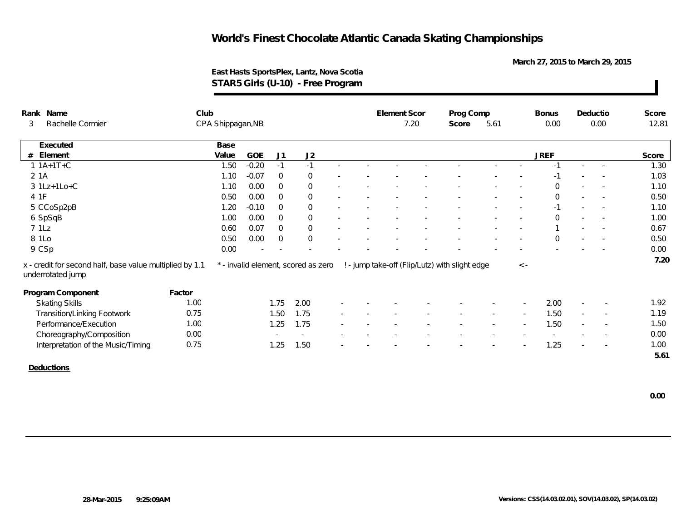**March 27, 2015 to March 29, 2015**

### **East Hasts SportsPlex, Lantz, Nova Scotia STAR5 Girls (U-10) - Free Program**

| Rank                                                                          | Name                               | Club   |                   |         |                |                                     |  | Element Scor |      | Prog Comp                                      |      |             | <b>Bonus</b> |                          | Deductio                 | Score |
|-------------------------------------------------------------------------------|------------------------------------|--------|-------------------|---------|----------------|-------------------------------------|--|--------------|------|------------------------------------------------|------|-------------|--------------|--------------------------|--------------------------|-------|
| 3                                                                             | Rachelle Cormier                   |        | CPA Shippagan, NB |         |                |                                     |  |              | 7.20 | Score                                          | 5.61 |             | 0.00         |                          | 0.00                     | 12.81 |
|                                                                               | Executed                           |        | Base              |         |                |                                     |  |              |      |                                                |      |             |              |                          |                          |       |
| #                                                                             | Element                            |        | Value             | GOE     | J1             | J2                                  |  |              |      |                                                |      |             | <b>JREF</b>  |                          |                          | Score |
|                                                                               | $1 1A+1T+C$                        |        | 1.50              | $-0.20$ | $-1$           | $-1$                                |  |              |      |                                                |      |             | $-1$         | $\sim$                   |                          | 1.30  |
| 2 1A                                                                          |                                    |        | 1.10              | $-0.07$ | $\overline{0}$ | $\overline{0}$                      |  |              |      |                                                |      |             | $-1$         |                          |                          | 1.03  |
|                                                                               | $3 1Lz+1Lo+C$                      |        | 1.10              | 0.00    | $\overline{0}$ | $\overline{0}$                      |  |              |      |                                                |      |             | $\mathbf 0$  |                          |                          | 1.10  |
| 4 1F                                                                          |                                    |        | 0.50              | 0.00    | $\overline{0}$ | $\overline{0}$                      |  |              |      |                                                |      |             | $\Omega$     | $\overline{\phantom{a}}$ |                          | 0.50  |
|                                                                               | 5 CCoSp2pB                         |        | 1.20              | $-0.10$ | $\Omega$       | $\overline{0}$                      |  |              |      |                                                |      |             | $-1$         |                          |                          | 1.10  |
|                                                                               | 6 SpSqB                            |        | 1.00              | 0.00    | $\Omega$       | $\overline{0}$                      |  |              |      |                                                |      |             | $\Omega$     | $\sim$                   |                          | 1.00  |
| 71Lz                                                                          |                                    |        | 0.60              | 0.07    | $\Omega$       | $\overline{0}$                      |  |              |      |                                                |      |             |              | $\overline{\phantom{a}}$ |                          | 0.67  |
|                                                                               | 8 1Lo                              |        | 0.50              | 0.00    | $\overline{0}$ | $\overline{0}$                      |  |              |      |                                                |      |             | $\mathbf 0$  |                          | $\overline{\phantom{a}}$ | 0.50  |
|                                                                               | 9 CSp                              |        | 0.00              |         |                |                                     |  |              |      |                                                |      |             |              |                          |                          | 0.00  |
| x - credit for second half, base value multiplied by 1.1<br>underrotated jump |                                    |        |                   |         |                | * - invalid element, scored as zero |  |              |      | ! - jump take-off (Flip/Lutz) with slight edge |      | $\langle$ - |              |                          |                          | 7.20  |
|                                                                               | Program Component                  | Factor |                   |         |                |                                     |  |              |      |                                                |      |             |              |                          |                          |       |
|                                                                               | <b>Skating Skills</b>              | 1.00   |                   |         | 1.75           | 2.00                                |  |              |      |                                                |      |             | 2.00         |                          |                          | 1.92  |
|                                                                               | <b>Transition/Linking Footwork</b> | 0.75   |                   |         | 1.50           | 1.75                                |  |              |      |                                                |      |             | 1.50         |                          | $\overline{\phantom{a}}$ | 1.19  |
|                                                                               | Performance/Execution              | 1.00   |                   |         | 1.25           | 1.75                                |  |              |      |                                                |      |             | 1.50         |                          | $\overline{\phantom{a}}$ | 1.50  |
|                                                                               | Choreography/Composition           | 0.00   |                   |         | $\sim$         | $\sim$                              |  |              |      |                                                |      |             |              |                          | $\overline{\phantom{a}}$ | 0.00  |
|                                                                               | Interpretation of the Music/Timing | 0.75   |                   |         | 1.25           | 1.50                                |  |              |      |                                                |      |             | 1.25         |                          | $\overline{\phantom{a}}$ | 1.00  |
|                                                                               |                                    |        |                   |         |                |                                     |  |              |      |                                                |      |             |              |                          |                          | 5.61  |
|                                                                               | Deductions                         |        |                   |         |                |                                     |  |              |      |                                                |      |             |              |                          |                          |       |

 **0.00**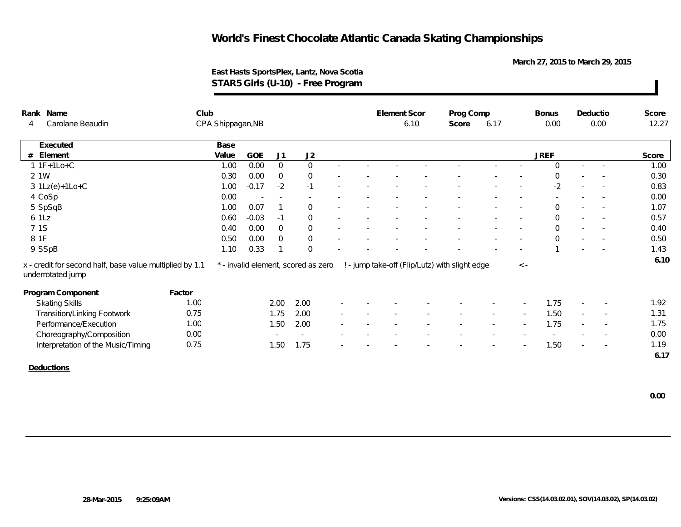**March 27, 2015 to March 29, 2015**

### **East Hasts SportsPlex, Lantz, Nova Scotia STAR5 Girls (U-10) - Free Program**

| Rank Name                                                                     | Club              |         |                          |                                     |  | Element Scor |      | Prog Comp                                      |      |             | <b>Bonus</b> |        | Deductio                 | Score |
|-------------------------------------------------------------------------------|-------------------|---------|--------------------------|-------------------------------------|--|--------------|------|------------------------------------------------|------|-------------|--------------|--------|--------------------------|-------|
| Carolane Beaudin<br>4                                                         | CPA Shippagan, NB |         |                          |                                     |  |              | 6.10 | Score                                          | 6.17 |             | 0.00         |        | 0.00                     | 12.27 |
| Executed                                                                      | Base              |         |                          |                                     |  |              |      |                                                |      |             |              |        |                          |       |
| Element<br>#                                                                  | Value             | GOE     | J1                       | J2                                  |  |              |      |                                                |      |             | <b>JREF</b>  |        |                          | Score |
| $1$ 1F+1Lo+C                                                                  | 1.00              | 0.00    | $\overline{0}$           | $\Omega$                            |  |              |      |                                                |      |             | $\Omega$     | $\sim$ | $\sim$                   | 1.00  |
| 2 1W                                                                          | 0.30              | 0.00    | $\Omega$                 | $\overline{0}$                      |  |              |      |                                                |      |             | $\Omega$     |        |                          | 0.30  |
| $3 \text{ 1Lz}(e)+1 \text{Lo}+C$                                              | 1.00              | $-0.17$ | $-2$                     | $-1$                                |  |              |      |                                                |      |             | $-2$         | $\sim$ | $\overline{\phantom{a}}$ | 0.83  |
| 4 CoSp                                                                        | 0.00              |         | $\overline{\phantom{a}}$ |                                     |  |              |      |                                                |      |             |              |        |                          | 0.00  |
| 5 SpSqB                                                                       | 1.00              | 0.07    |                          | $\Omega$                            |  |              |      |                                                |      | $\sim$      | $\Omega$     | $\sim$ | $\overline{\phantom{a}}$ | 1.07  |
| 6 1Lz                                                                         | 0.60              | $-0.03$ | $-1$                     | $\Omega$                            |  |              |      |                                                |      |             | $\Omega$     |        |                          | 0.57  |
| 7 1S                                                                          | 0.40              | 0.00    | $\Omega$                 | $\Omega$                            |  |              |      |                                                |      |             | $\Omega$     |        |                          | 0.40  |
| 8 1F                                                                          | 0.50              | 0.00    | $\Omega$                 | $\overline{0}$                      |  |              |      |                                                |      | $\sim$      | $\Omega$     |        |                          | 0.50  |
| 9 SSpB                                                                        | 1.10              | 0.33    | $\mathbf{1}$             | $\Omega$                            |  |              |      |                                                |      |             |              |        |                          | 1.43  |
| x - credit for second half, base value multiplied by 1.1<br>underrotated jump |                   |         |                          | * - invalid element, scored as zero |  |              |      | ! - jump take-off (Flip/Lutz) with slight edge |      | $\langle$ - |              |        |                          | 6.10  |
| Program Component                                                             | Factor            |         |                          |                                     |  |              |      |                                                |      |             |              |        |                          |       |
| <b>Skating Skills</b>                                                         | 1.00              |         | 2.00                     | 2.00                                |  |              |      |                                                |      |             | 1.75         |        |                          | 1.92  |
| <b>Transition/Linking Footwork</b>                                            | 0.75              |         | 1.75                     | 2.00                                |  |              |      |                                                |      |             | 1.50         | $\sim$ | $\overline{\phantom{a}}$ | 1.31  |
| Performance/Execution                                                         | 1.00              |         | 1.50                     | 2.00                                |  |              |      |                                                |      |             | 1.75         |        | $\sim$                   | 1.75  |
| Choreography/Composition                                                      | 0.00              |         |                          |                                     |  |              |      |                                                |      |             |              |        |                          | 0.00  |
| Interpretation of the Music/Timing                                            | 0.75              |         | 1.50                     | 1.75                                |  |              |      |                                                |      |             | 1.50         |        | $\overline{\phantom{a}}$ | 1.19  |
|                                                                               |                   |         |                          |                                     |  |              |      |                                                |      |             |              |        |                          | 6.17  |

**Deductions**